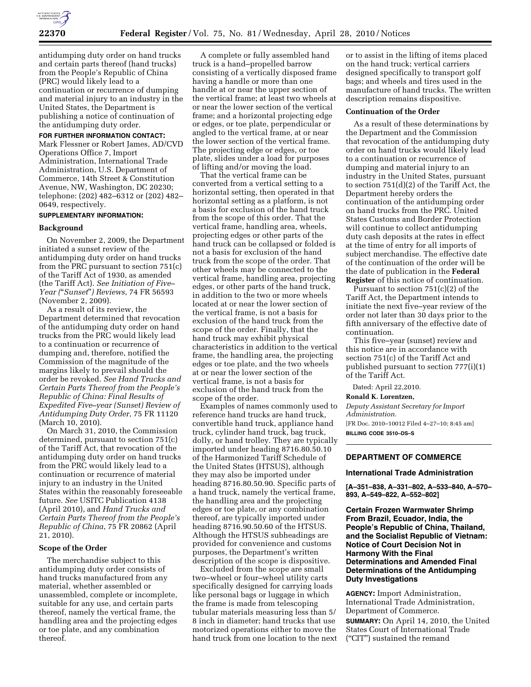

antidumping duty order on hand trucks and certain parts thereof (hand trucks) from the People's Republic of China (PRC) would likely lead to a continuation or recurrence of dumping and material injury to an industry in the United States, the Department is publishing a notice of continuation of the antidumping duty order.

#### **FOR FURTHER INFORMATION CONTACT:**

Mark Flessner or Robert James, AD/CVD Operations Office 7, Import Administration, International Trade Administration, U.S. Department of Commerce, 14th Street & Constitution Avenue, NW, Washington, DC 20230; telephone: (202) 482–6312 or (202) 482– 0649, respectively.

## **SUPPLEMENTARY INFORMATION:**

#### **Background**

On November 2, 2009, the Department initiated a sunset review of the antidumping duty order on hand trucks from the PRC pursuant to section 751(c) of the Tariff Act of 1930, as amended (the Tariff Act). *See Initiation of Five– Year (*''*Sunset*''*) Reviews*, 74 FR 56593 (November 2, 2009).

As a result of its review, the Department determined that revocation of the antidumping duty order on hand trucks from the PRC would likely lead to a continuation or recurrence of dumping and, therefore, notified the Commission of the magnitude of the margins likely to prevail should the order be revoked. *See Hand Trucks and Certain Parts Thereof from the People's Republic of China: Final Results of Expedited Five–year (Sunset) Review of Antidumping Duty Order*, 75 FR 11120 (March 10, 2010).

On March 31, 2010, the Commission determined, pursuant to section 751(c) of the Tariff Act, that revocation of the antidumping duty order on hand trucks from the PRC would likely lead to a continuation or recurrence of material injury to an industry in the United States within the reasonably foreseeable future. *See* USITC Publication 4138 (April 2010), and *Hand Trucks and Certain Parts Thereof from the People's Republic of China*, 75 FR 20862 (April 21, 2010).

### **Scope of the Order**

The merchandise subject to this antidumping duty order consists of hand trucks manufactured from any material, whether assembled or unassembled, complete or incomplete, suitable for any use, and certain parts thereof, namely the vertical frame, the handling area and the projecting edges or toe plate, and any combination thereof.

A complete or fully assembled hand truck is a hand–propelled barrow consisting of a vertically disposed frame having a handle or more than one handle at or near the upper section of the vertical frame; at least two wheels at or near the lower section of the vertical frame; and a horizontal projecting edge or edges, or toe plate, perpendicular or angled to the vertical frame, at or near the lower section of the vertical frame. The projecting edge or edges, or toe plate, slides under a load for purposes of lifting and/or moving the load.

That the vertical frame can be converted from a vertical setting to a horizontal setting, then operated in that horizontal setting as a platform, is not a basis for exclusion of the hand truck from the scope of this order. That the vertical frame, handling area, wheels, projecting edges or other parts of the hand truck can be collapsed or folded is not a basis for exclusion of the hand truck from the scope of the order. That other wheels may be connected to the vertical frame, handling area, projecting edges, or other parts of the hand truck, in addition to the two or more wheels located at or near the lower section of the vertical frame, is not a basis for exclusion of the hand truck from the scope of the order. Finally, that the hand truck may exhibit physical characteristics in addition to the vertical frame, the handling area, the projecting edges or toe plate, and the two wheels at or near the lower section of the vertical frame, is not a basis for exclusion of the hand truck from the scope of the order.

Examples of names commonly used to reference hand trucks are hand truck, convertible hand truck, appliance hand truck, cylinder hand truck, bag truck, dolly, or hand trolley. They are typically imported under heading 8716.80.50.10 of the Harmonized Tariff Schedule of the United States (HTSUS), although they may also be imported under heading 8716.80.50.90. Specific parts of a hand truck, namely the vertical frame, the handling area and the projecting edges or toe plate, or any combination thereof, are typically imported under heading 8716.90.50.60 of the HTSUS. Although the HTSUS subheadings are provided for convenience and customs purposes, the Department's written description of the scope is dispositive.

Excluded from the scope are small two–wheel or four–wheel utility carts specifically designed for carrying loads like personal bags or luggage in which the frame is made from telescoping tubular materials measuring less than 5/ 8 inch in diameter; hand trucks that use motorized operations either to move the hand truck from one location to the next

or to assist in the lifting of items placed on the hand truck; vertical carriers designed specifically to transport golf bags; and wheels and tires used in the manufacture of hand trucks. The written description remains dispositive.

#### **Continuation of the Order**

As a result of these determinations by the Department and the Commission that revocation of the antidumping duty order on hand trucks would likely lead to a continuation or recurrence of dumping and material injury to an industry in the United States, pursuant to section 751(d)(2) of the Tariff Act, the Department hereby orders the continuation of the antidumping order on hand trucks from the PRC. United States Customs and Border Protection will continue to collect antidumping duty cash deposits at the rates in effect at the time of entry for all imports of subject merchandise. The effective date of the continuation of the order will be the date of publication in the **Federal Register** of this notice of continuation.

Pursuant to section 751(c)(2) of the Tariff Act, the Department intends to initiate the next five–year review of the order not later than 30 days prior to the fifth anniversary of the effective date of continuation.

This five–year (sunset) review and this notice are in accordance with section 751(c) of the Tariff Act and published pursuant to section 777(i)(1) of the Tariff Act.

Dated: April 22,2010.

### **Ronald K. Lorentzen,**

*Deputy Assistant Secretary for Import Administration.* 

[FR Doc. 2010–10012 Filed 4–27–10; 8:45 am] **BILLING CODE 3510–DS–S** 

## **DEPARTMENT OF COMMERCE**

#### **International Trade Administration**

**[A–351–838, A–331–802, A–533–840, A–570– 893, A–549–822, A–552–802]** 

**Certain Frozen Warmwater Shrimp From Brazil, Ecuador, India, the People's Republic of China, Thailand, and the Socialist Republic of Vietnam: Notice of Court Decision Not in Harmony With the Final Determinations and Amended Final Determinations of the Antidumping Duty Investigations** 

**AGENCY:** Import Administration, International Trade Administration, Department of Commerce.

**SUMMARY:** On April 14, 2010, the United States Court of International Trade (''CIT'') sustained the remand